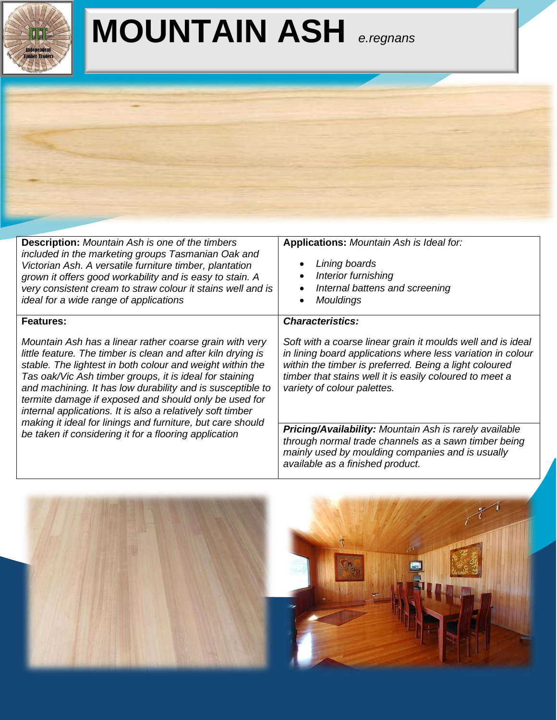

## **MOUNTAIN ASH** *e.regnans*

| <b>Description:</b> Mountain Ash is one of the timbers<br>included in the marketing groups Tasmanian Oak and<br>Victorian Ash. A versatile furniture timber, plantation<br>grown it offers good workability and is easy to stain. A<br>very consistent cream to straw colour it stains well and is<br>ideal for a wide range of applications                                                                                                                                                                                                                             | Applications: Mountain Ash is Ideal for:<br>Lining boards<br>Interior furnishing<br>Internal battens and screening<br>$\bullet$<br>Mouldings<br>$\bullet$                                                                                                                                                 |  |  |
|--------------------------------------------------------------------------------------------------------------------------------------------------------------------------------------------------------------------------------------------------------------------------------------------------------------------------------------------------------------------------------------------------------------------------------------------------------------------------------------------------------------------------------------------------------------------------|-----------------------------------------------------------------------------------------------------------------------------------------------------------------------------------------------------------------------------------------------------------------------------------------------------------|--|--|
| Features:<br>Mountain Ash has a linear rather coarse grain with very<br>little feature. The timber is clean and after kiln drying is<br>stable. The lightest in both colour and weight within the<br>Tas oak/Vic Ash timber groups, it is ideal for staining<br>and machining. It has low durability and is susceptible to<br>termite damage if exposed and should only be used for<br>internal applications. It is also a relatively soft timber<br>making it ideal for linings and furniture, but care should<br>be taken if considering it for a flooring application | <b>Characteristics:</b><br>Soft with a coarse linear grain it moulds well and is ideal<br>in lining board applications where less variation in colour<br>within the timber is preferred. Being a light coloured<br>timber that stains well it is easily coloured to meet a<br>variety of colour palettes. |  |  |
|                                                                                                                                                                                                                                                                                                                                                                                                                                                                                                                                                                          | Pricing/Availability: Mountain Ash is rarely available<br>through normal trade channels as a sawn timber being<br>mainly used by moulding companies and is usually<br>available as a finished product.                                                                                                    |  |  |